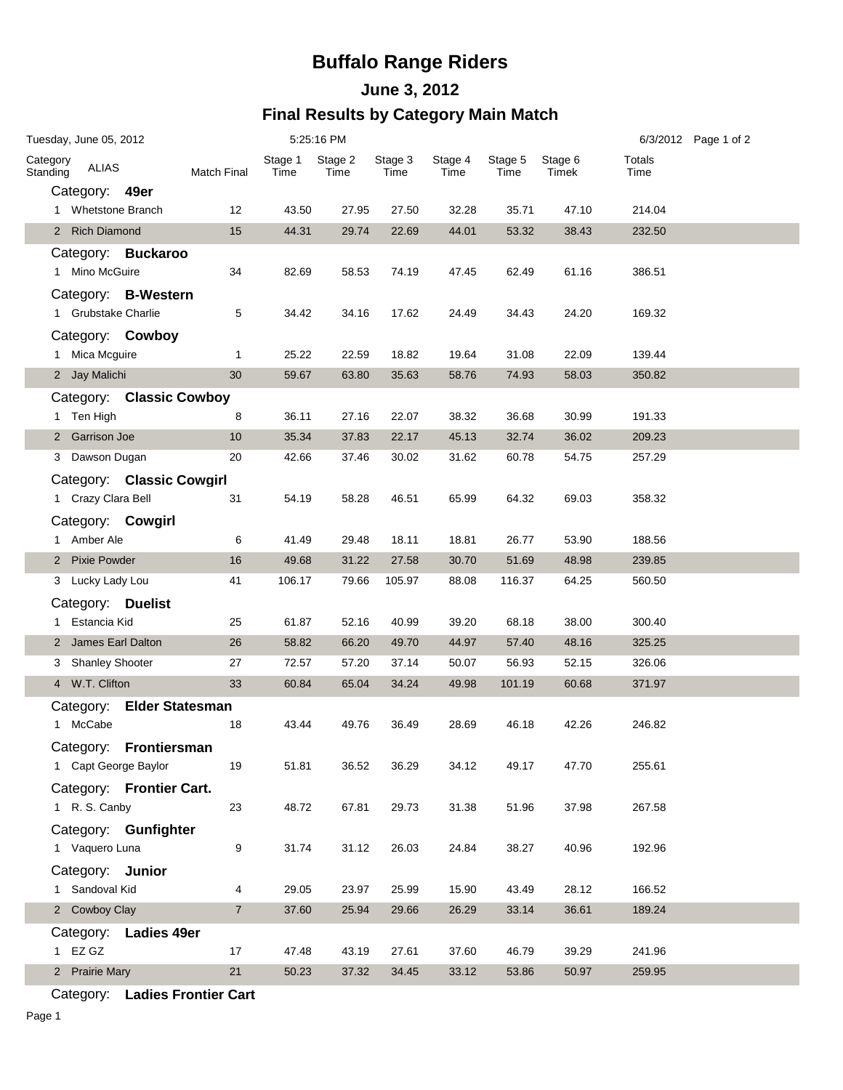## **Buffalo Range Riders**

## **June 3, 2012 Final Results by Category Main Match**

| Tuesday, June 05, 2012 |                      |                           |                     | 5:25:16 PM      |                 |                 |                 |                 |                  |                | 6/3/2012 Page 1 of 2 |
|------------------------|----------------------|---------------------------|---------------------|-----------------|-----------------|-----------------|-----------------|-----------------|------------------|----------------|----------------------|
| Category<br>Standing   | <b>ALIAS</b>         |                           | Match Final         | Stage 1<br>Time | Stage 2<br>Time | Stage 3<br>Time | Stage 4<br>Time | Stage 5<br>Time | Stage 6<br>Timek | Totals<br>Time |                      |
|                        | Category: 49er       |                           |                     |                 |                 |                 |                 |                 |                  |                |                      |
|                        | 1 Whetstone Branch   |                           | 12                  | 43.50           | 27.95           | 27.50           | 32.28           | 35.71           | 47.10            | 214.04         |                      |
|                        | 2 Rich Diamond       |                           | 15                  | 44.31           | 29.74           | 22.69           | 44.01           | 53.32           | 38.43            | 232.50         |                      |
|                        |                      | Category: Buckaroo        |                     |                 |                 |                 |                 |                 |                  |                |                      |
|                        | 1 Mino McGuire       |                           | 34                  | 82.69           | 58.53           | 74.19           | 47.45           | 62.49           | 61.16            | 386.51         |                      |
|                        |                      | Category: B-Western       |                     |                 |                 |                 |                 |                 |                  |                |                      |
|                        | 1 Grubstake Charlie  |                           | 5                   | 34.42           | 34.16           | 17.62           | 24.49           | 34.43           | 24.20            | 169.32         |                      |
|                        |                      | Category: Cowboy          |                     |                 |                 |                 |                 |                 |                  |                |                      |
|                        | 1 Mica Mcguire       |                           | 1                   | 25.22           | 22.59           | 18.82           | 19.64           | 31.08           | 22.09            | 139.44         |                      |
|                        | 2 Jay Malichi        |                           | 30                  | 59.67           | 63.80           | 35.63           | 58.76           | 74.93           | 58.03            | 350.82         |                      |
|                        | 1 Ten High           | Category: Classic Cowboy  | 8                   | 36.11           | 27.16           | 22.07           | 38.32           | 36.68           | 30.99            | 191.33         |                      |
|                        | 2 Garrison Joe       |                           | 10                  | 35.34           | 37.83           | 22.17           | 45.13           | 32.74           | 36.02            | 209.23         |                      |
|                        | 3 Dawson Dugan       |                           | 20                  | 42.66           | 37.46           | 30.02           | 31.62           | 60.78           | 54.75            | 257.29         |                      |
|                        |                      | Category: Classic Cowgirl |                     |                 |                 |                 |                 |                 |                  |                |                      |
|                        | 1 Crazy Clara Bell   |                           | 31                  | 54.19           | 58.28           | 46.51           | 65.99           | 64.32           | 69.03            | 358.32         |                      |
|                        | Category: Cowgirl    |                           |                     |                 |                 |                 |                 |                 |                  |                |                      |
|                        | 1 Amber Ale          |                           | 6                   | 41.49           | 29.48           | 18.11           | 18.81           | 26.77           | 53.90            | 188.56         |                      |
|                        | 2 Pixie Powder       |                           | 16                  | 49.68           | 31.22           | 27.58           | 30.70           | 51.69           | 48.98            | 239.85         |                      |
|                        | 3 Lucky Lady Lou     |                           | 41                  | 106.17          | 79.66           | 105.97          | 88.08           | 116.37          | 64.25            | 560.50         |                      |
|                        | Category: Duelist    |                           |                     |                 |                 |                 |                 |                 |                  |                |                      |
|                        | 1 Estancia Kid       |                           | 25                  | 61.87           | 52.16           | 40.99           | 39.20           | 68.18           | 38.00            | 300.40         |                      |
|                        | 2 James Earl Dalton  |                           | 26                  | 58.82           | 66.20           | 49.70           | 44.97           | 57.40           | 48.16            | 325.25         |                      |
|                        | 3 Shanley Shooter    |                           | 27                  | 72.57           | 57.20           | 37.14           | 50.07           | 56.93           | 52.15            | 326.06         |                      |
|                        | 4 W.T. Clifton       |                           | 33                  | 60.84           | 65.04           | 34.24           | 49.98           | 101.19          | 60.68            | 371.97         |                      |
|                        |                      | Category: Elder Statesman |                     |                 |                 |                 |                 |                 |                  |                |                      |
|                        | 1 McCabe             |                           | 18                  | 43.44           | 49.76           | 36.49           | 28.69           | 46.18           | 42.26            | 246.82         |                      |
|                        |                      | Category: Frontiersman    |                     |                 |                 |                 |                 |                 |                  |                |                      |
|                        | 1 Capt George Baylor |                           | 19                  | 51.81           | 36.52           | 36.29           | 34.12           | 49.17           | 47.70            | 255.61         |                      |
|                        |                      | Category: Frontier Cart.  |                     |                 |                 |                 |                 |                 |                  |                |                      |
|                        | 1 R. S. Canby        |                           | 23                  | 48.72           | 67.81           | 29.73           | 31.38           | 51.96           | 37.98            | 267.58         |                      |
|                        |                      | Category: Gunfighter      |                     |                 |                 |                 |                 |                 |                  |                |                      |
|                        | 1 Vaquero Luna       |                           | 9                   | 31.74           | 31.12           | 26.03           | 24.84           | 38.27           | 40.96            | 192.96         |                      |
|                        | Category: Junior     |                           |                     |                 |                 |                 |                 |                 |                  |                |                      |
|                        | 1 Sandoval Kid       |                           | 4<br>$\overline{7}$ | 29.05           | 23.97           | 25.99           | 15.90           | 43.49           | 28.12            | 166.52         |                      |
|                        | 2 Cowboy Clay        |                           |                     | 37.60           | 25.94           | 29.66           | 26.29           | 33.14           | 36.61            | 189.24         |                      |
| 1                      | EZ GZ                | Category: Ladies 49er     | 17                  | 47.48           | 43.19           | 27.61           | 37.60           | 46.79           | 39.29            | 241.96         |                      |
|                        | 2 Prairie Mary       |                           | 21                  | 50.23           | 37.32           | 34.45           | 33.12           | 53.86           | 50.97            | 259.95         |                      |
|                        |                      |                           |                     |                 |                 |                 |                 |                 |                  |                |                      |

Category: **Ladies Frontier Cart**